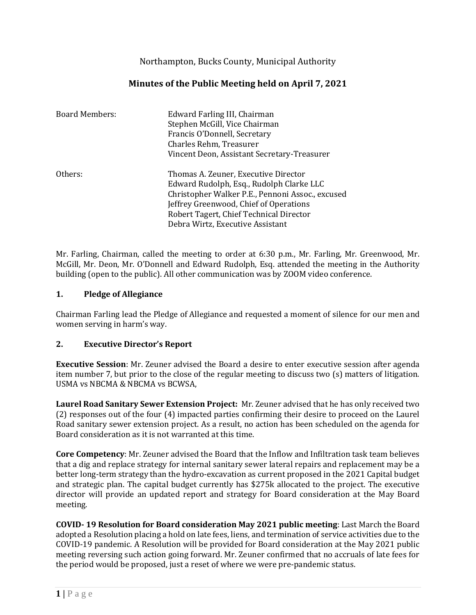Northampton, Bucks County, Municipal Authority

# **Minutes of the Public Meeting held on April 7, 2021**

| <b>Board Members:</b> | Edward Farling III, Chairman                     |
|-----------------------|--------------------------------------------------|
|                       | Stephen McGill, Vice Chairman                    |
|                       | Francis O'Donnell, Secretary                     |
|                       | Charles Rehm, Treasurer                          |
|                       | Vincent Deon, Assistant Secretary-Treasurer      |
| Others:               | Thomas A. Zeuner, Executive Director             |
|                       | Edward Rudolph, Esq., Rudolph Clarke LLC         |
|                       | Christopher Walker P.E., Pennoni Assoc., excused |
|                       | Jeffrey Greenwood, Chief of Operations           |
|                       | Robert Tagert, Chief Technical Director          |
|                       | Debra Wirtz, Executive Assistant                 |

Mr. Farling, Chairman, called the meeting to order at 6:30 p.m., Mr. Farling, Mr. Greenwood, Mr. McGill, Mr. Deon, Mr. O'Donnell and Edward Rudolph, Esq. attended the meeting in the Authority building (open to the public). All other communication was by ZOOM video conference.

### **1. Pledge of Allegiance**

Chairman Farling lead the Pledge of Allegiance and requested a moment of silence for our men and women serving in harm's way.

### **2. Executive Director's Report**

**Executive Session**: Mr. Zeuner advised the Board a desire to enter executive session after agenda item number 7, but prior to the close of the regular meeting to discuss two (s) matters of litigation. USMA vs NBCMA & NBCMA vs BCWSA,

**Laurel Road Sanitary Sewer Extension Project:** Mr. Zeuner advised that he has only received two (2) responses out of the four (4) impacted parties confirming their desire to proceed on the Laurel Road sanitary sewer extension project. As a result, no action has been scheduled on the agenda for Board consideration as it is not warranted at this time.

**Core Competency**: Mr. Zeuner advised the Board that the Inflow and Infiltration task team believes that a dig and replace strategy for internal sanitary sewer lateral repairs and replacement may be a better long-term strategy than the hydro-excavation as current proposed in the 2021 Capital budget and strategic plan. The capital budget currently has \$275k allocated to the project. The executive director will provide an updated report and strategy for Board consideration at the May Board meeting.

**COVID- 19 Resolution for Board consideration May 2021 public meeting**: Last March the Board adopted a Resolution placing a hold on late fees, liens, and termination of service activities due to the COVID-19 pandemic. A Resolution will be provided for Board consideration at the May 2021 public meeting reversing such action going forward. Mr. Zeuner confirmed that no accruals of late fees for the period would be proposed, just a reset of where we were pre-pandemic status.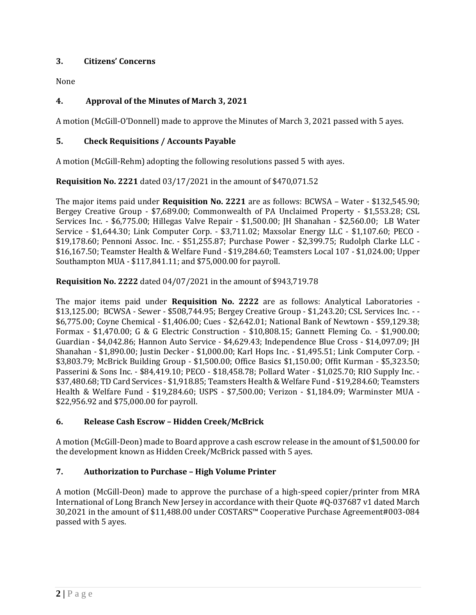### **3. Citizens' Concerns**

None

# **4. Approval of the Minutes of March 3, 2021**

A motion (McGill-O'Donnell) made to approve the Minutes of March 3, 2021 passed with 5 ayes.

### **5. Check Requisitions / Accounts Payable**

A motion (McGill-Rehm) adopting the following resolutions passed 5 with ayes.

**Requisition No. 2221** dated 03/17/2021 in the amount of \$470,071.52

The major items paid under **Requisition No. 2221** are as follows: BCWSA – Water - \$132,545.90; Bergey Creative Group - \$7,689.00; Commonwealth of PA Unclaimed Property - \$1,553.28; CSL Services Inc. - \$6,775.00; Hillegas Valve Repair - \$1,500.00; JH Shanahan - \$2,560.00; LB Water Service - \$1,644.30; Link Computer Corp. - \$3,711.02; Maxsolar Energy LLC - \$1,107.60; PECO - \$19,178.60; Pennoni Assoc. Inc. - \$51,255.87; Purchase Power - \$2,399.75; Rudolph Clarke LLC - \$16,167.50; Teamster Health & Welfare Fund - \$19,284.60; Teamsters Local 107 - \$1,024.00; Upper Southampton MUA - \$117,841.11; and \$75,000.00 for payroll.

### **Requisition No. 2222** dated 04/07/2021 in the amount of \$943,719.78

The major items paid under **Requisition No. 2222** are as follows: Analytical Laboratories - \$13,125.00; BCWSA - Sewer - \$508,744.95; Bergey Creative Group - \$1,243.20; CSL Services Inc. - - \$6,775.00; Coyne Chemical - \$1,406.00; Cues - \$2,642.01; National Bank of Newtown - \$59,129.38; Formax - \$1,470.00; G & G Electric Construction - \$10,808.15; Gannett Fleming Co. - \$1,900.00; Guardian - \$4,042.86; Hannon Auto Service - \$4,629.43; Independence Blue Cross - \$14,097.09; JH Shanahan - \$1,890.00; Justin Decker - \$1,000.00; Karl Hops Inc. - \$1,495.51; Link Computer Corp. - \$3,803.79; McBrick Building Group - \$1,500.00; Office Basics \$1,150.00; Offit Kurman - \$5,323.50; Passerini & Sons Inc. - \$84,419.10; PECO - \$18,458.78; Pollard Water - \$1,025.70; RIO Supply Inc. - \$37,480.68; TD Card Services - \$1,918.85; Teamsters Health & Welfare Fund - \$19,284.60; Teamsters Health & Welfare Fund - \$19,284.60; USPS - \$7,500.00; Verizon - \$1,184.09; Warminster MUA - \$22,956.92 and \$75,000.00 for payroll.

# **6. Release Cash Escrow – Hidden Creek/McBrick**

A motion (McGill-Deon) made to Board approve a cash escrow release in the amount of \$1,500.00 for the development known as Hidden Creek/McBrick passed with 5 ayes.

# **7. Authorization to Purchase – High Volume Printer**

A motion (McGill-Deon) made to approve the purchase of a high-speed copier/printer from MRA International of Long Branch New Jersey in accordance with their Quote #Q-037687 v1 dated March 30,2021 in the amount of \$11,488.00 under COSTARS™ Cooperative Purchase Agreement#003-084 passed with 5 ayes.